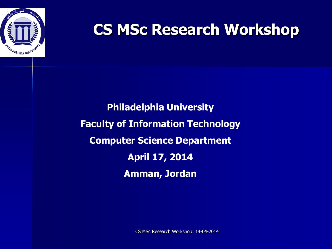

**Philadelphia University Faculty of Information Technology Computer Science Department April 17, 2014 Amman, Jordan**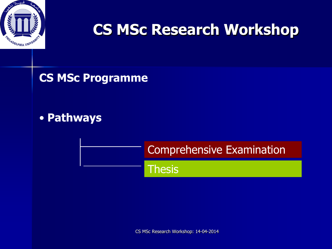

**CS MSc Programme**

## • **Pathways**

Comprehensive Examination

**Thesis**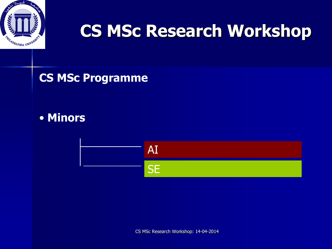

### **CS MSc Programme**

### • **Minors**

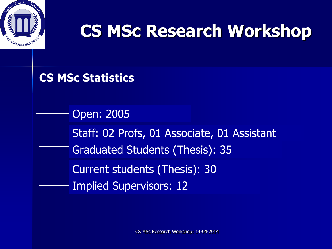

### **CS MSc Statistics**

Open: 2005

Staff: 02 Profs, 01 Associate, 01 Assistant

Graduated Students (Thesis): 35

Current students (Thesis): 30

Implied Supervisors: 12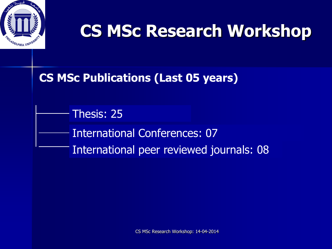

### **CS MSc Publications (Last 05 years)**

International Conferences: 07 International peer reviewed journals: 08 Thesis: 25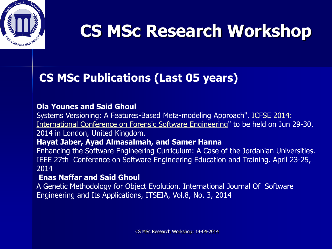

## **CS MSc Publications (Last 05 years)**

#### **Ola Younes and Said Ghoul**

Systems Versioning: A Features-Based Meta-modeling Approach". [ICFSE 2014:](https://mail.philadelphia.edu.jo/OWA/redir.aspx?C=7zQ3hguhCkOMgUWcUfhFUbSZUe4pF9EI_cFgy_zenBpo1RepbelHdIMlisWAaI_cd5Lz5ZkCEu0.&URL=http%3a%2f%2fwaset.org%2fapply%2f2014%2f06%2flondon%2fICFSE%2f%3fstep%3d1%23papers)  [International Conference on Forensic Software Engineering"](https://mail.philadelphia.edu.jo/OWA/redir.aspx?C=7zQ3hguhCkOMgUWcUfhFUbSZUe4pF9EI_cFgy_zenBpo1RepbelHdIMlisWAaI_cd5Lz5ZkCEu0.&URL=http%3a%2f%2fwaset.org%2fapply%2f2014%2f06%2flondon%2fICFSE%2f%3fstep%3d1%23papers) to be held on Jun 29-30, 2014 in London, United Kingdom.

#### **Hayat Jaber, Ayad Almasalmah, and Samer Hanna**

Enhancing the Software Engineering Curriculum: A Case of the Jordanian Universities. IEEE 27th Conference on Software Engineering Education and Training. April 23-25, 2014

#### **Enas Naffar and Said Ghoul**

A Genetic Methodology for Object Evolution. International Journal Of Software Engineering and Its Applications, ITSEIA, Vol.8, No. 3, 2014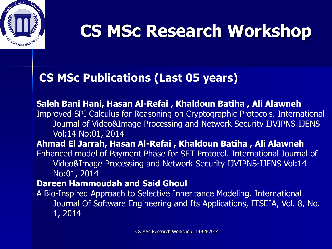

### **CS MSc Publications (Last 05 years)**

**Saleh Bani Hani, Hasan Al-Refai , Khaldoun Batiha , Ali Alawneh**  Improved SPI Calculus for Reasoning on Cryptographic Protocols. International Journal of Video&Image Processing and Network Security IJVIPNS-IJENS Vol:14 No:01, 2014 **Ahmad El Jarrah, Hasan Al-Refai , Khaldoun Batiha , Ali Alawneh** Enhanced model of Payment Phase for SET Protocol. International Journal of Video&Image Processing and Network Security IJVIPNS-IJENS Vol:14 No:01, 2014 **Dareen Hammoudah and Said Ghoul** A Bio-Inspired Approach to Selective Inheritance Modeling. International Journal Of Software Engineering and Its Applications, ITSEIA, Vol. 8, No. 1, 2014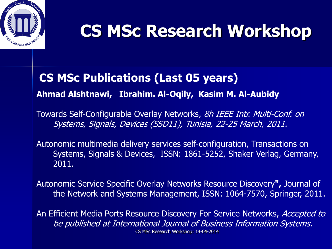

### **CS MSc Publications (Last 05 years)**

**Ahmad Alshtnawi, Ibrahim. Al-Oqily, Kasim M. Al-Aubidy**

Towards Self-Configurable Overlay Networks, 8h IEEE Intr. Multi-Conf. on Systems, Signals, Devices (SSD11), Tunisia, 22-25 March, 2011.

Autonomic multimedia delivery services self-configuration, Transactions on Systems, Signals & Devices, ISSN: 1861-5252, Shaker Verlag, Germany, 2011.

Autonomic Service Specific Overlay Networks Resource Discovery**",** Journal of the Network and Systems Management, ISSN: 1064-7570, Springer, 2011.

CS MSc Research Workshop: 14-04-2014 An Efficient Media Ports Resource Discovery For Service Networks, Accepted to be published at International Journal of Business Information Systems.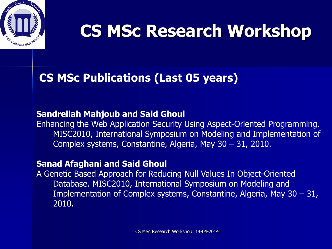

### **CS MSc Publications (Last 05 years)**

#### **Sandrellah Mahjoub and Said Ghoul**

Enhancing the Web Application Security Using Aspect-Oriented Programming. MISC2010, International Symposium on Modeling and Implementation of Complex systems, Constantine, Algeria, May 30 – 31, 2010.

#### **Sanad Afaghani and Said Ghoul**

A Genetic Based Approach for Reducing Null Values In Object-Oriented Database. MISC2010, International Symposium on Modeling and Implementation of Complex systems, Constantine, Algeria, May 30 – 31, 2010.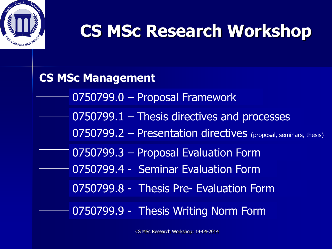

## **CS MSc Management** 0750799.2 – Presentation directives (proposal, seminars, thesis) 0750799.1 – Thesis directives and processes 0750799.3 – Proposal Evaluation Form 0750799.0 – Proposal Framework 0750799.4 - Seminar Evaluation Form 0750799.8 - Thesis Pre- Evaluation Form 0750799.9 - Thesis Writing Norm Form